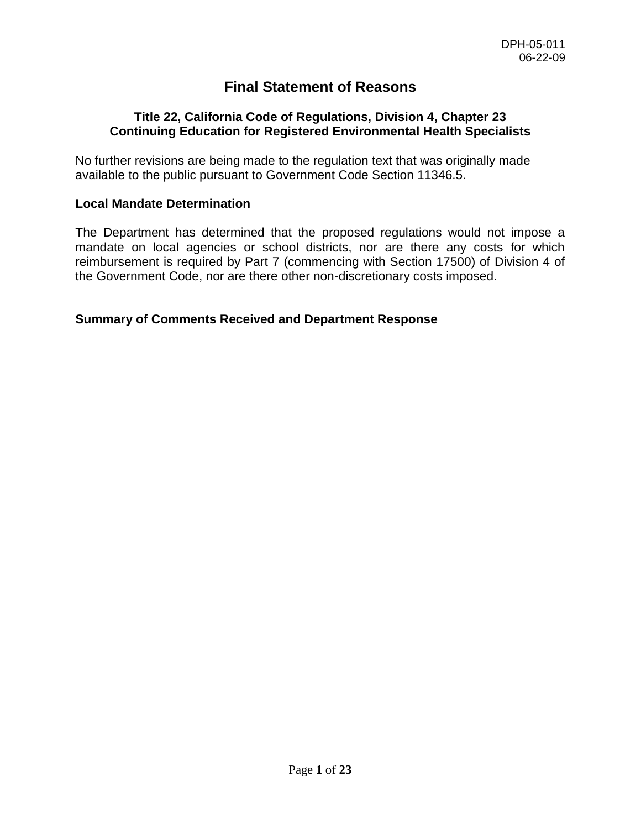# **Final Statement of Reasons**

#### **Title 22, California Code of Regulations, Division 4, Chapter 23 Continuing Education for Registered Environmental Health Specialists**

No further revisions are being made to the regulation text that was originally made available to the public pursuant to Government Code Section 11346.5.

## **Local Mandate Determination**

The Department has determined that the proposed regulations would not impose a mandate on local agencies or school districts, nor are there any costs for which reimbursement is required by Part 7 (commencing with Section 17500) of Division 4 of the Government Code, nor are there other non-discretionary costs imposed.

## **Summary of Comments Received and Department Response**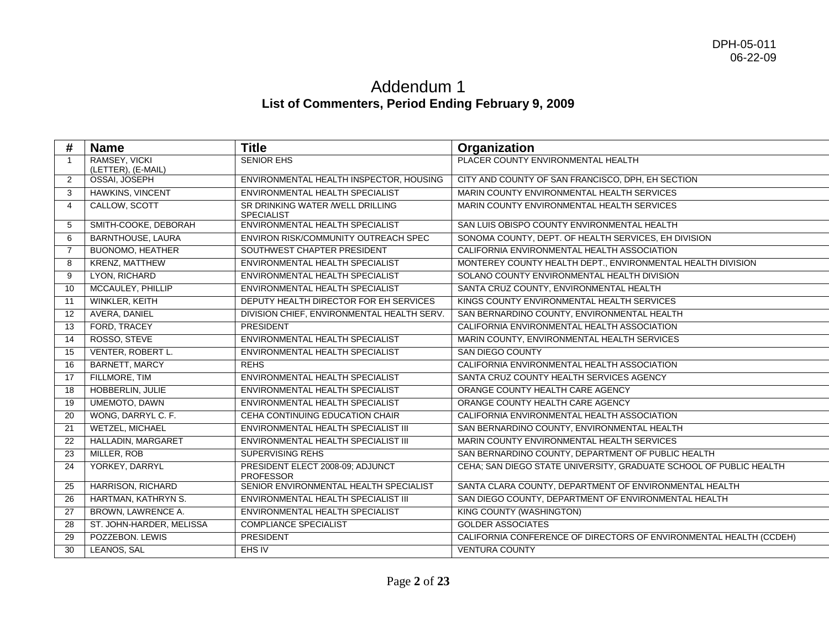# Addendum 1 **List of Commenters, Period Ending February 9, 2009**

| #              | <b>Name</b>                         | <b>Title</b>                                          | Organization                                                       |
|----------------|-------------------------------------|-------------------------------------------------------|--------------------------------------------------------------------|
|                | RAMSEY, VICKI<br>(LETTER), (E-MAIL) | <b>SENIOR EHS</b>                                     | PLACER COUNTY ENVIRONMENTAL HEALTH                                 |
| 2              | OSSAI, JOSEPH                       | ENVIRONMENTAL HEALTH INSPECTOR, HOUSING               | CITY AND COUNTY OF SAN FRANCISCO, DPH, EH SECTION                  |
| 3              | HAWKINS, VINCENT                    | ENVIRONMENTAL HEALTH SPECIALIST                       | MARIN COUNTY ENVIRONMENTAL HEALTH SERVICES                         |
| $\overline{4}$ | CALLOW, SCOTT                       | SR DRINKING WATER /WELL DRILLING<br><b>SPECIALIST</b> | MARIN COUNTY ENVIRONMENTAL HEALTH SERVICES                         |
| 5              | SMITH-COOKE, DEBORAH                | ENVIRONMENTAL HEALTH SPECIALIST                       | SAN LUIS OBISPO COUNTY ENVIRONMENTAL HEALTH                        |
| 6              | <b>BARNTHOUSE, LAURA</b>            | ENVIRON RISK/COMMUNITY OUTREACH SPEC                  | SONOMA COUNTY, DEPT. OF HEALTH SERVICES, EH DIVISION               |
| $\overline{7}$ | <b>BUONOMO, HEATHER</b>             | SOUTHWEST CHAPTER PRESIDENT                           | CALIFORNIA ENVIRONMENTAL HEALTH ASSOCIATION                        |
| 8              | KRENZ, MATTHEW                      | ENVIRONMENTAL HEALTH SPECIALIST                       | MONTEREY COUNTY HEALTH DEPT., ENVIRONMENTAL HEALTH DIVISION        |
| 9              | LYON, RICHARD                       | ENVIRONMENTAL HEALTH SPECIALIST                       | SOLANO COUNTY ENVIRONMENTAL HEALTH DIVISION                        |
| 10             | MCCAULEY, PHILLIP                   | ENVIRONMENTAL HEALTH SPECIALIST                       | SANTA CRUZ COUNTY, ENVIRONMENTAL HEALTH                            |
| 11             | WINKLER, KEITH                      | DEPUTY HEALTH DIRECTOR FOR EH SERVICES                | KINGS COUNTY ENVIRONMENTAL HEALTH SERVICES                         |
| 12             | AVERA, DANIEL                       | DIVISION CHIEF, ENVIRONMENTAL HEALTH SERV.            | SAN BERNARDINO COUNTY, ENVIRONMENTAL HEALTH                        |
| 13             | FORD, TRACEY                        | PRESIDENT                                             | CALIFORNIA ENVIRONMENTAL HEALTH ASSOCIATION                        |
| 14             | ROSSO, STEVE                        | ENVIRONMENTAL HEALTH SPECIALIST                       | MARIN COUNTY, ENVIRONMENTAL HEALTH SERVICES                        |
| 15             | VENTER, ROBERT L.                   | ENVIRONMENTAL HEALTH SPECIALIST                       | SAN DIEGO COUNTY                                                   |
| 16             | <b>BARNETT, MARCY</b>               | <b>REHS</b>                                           | CALIFORNIA ENVIRONMENTAL HEALTH ASSOCIATION                        |
| 17             | FILLMORE, TIM                       | ENVIRONMENTAL HEALTH SPECIALIST                       | SANTA CRUZ COUNTY HEALTH SERVICES AGENCY                           |
| 18             | HOBBERLIN, JULIE                    | <b>ENVIRONMENTAL HEALTH SPECIALIST</b>                | ORANGE COUNTY HEALTH CARE AGENCY                                   |
| 19             | <b>UMEMOTO, DAWN</b>                | ENVIRONMENTAL HEALTH SPECIALIST                       | ORANGE COUNTY HEALTH CARE AGENCY                                   |
| 20             | WONG, DARRYL C. F.                  | CEHA CONTINUING EDUCATION CHAIR                       | CALIFORNIA ENVIRONMENTAL HEALTH ASSOCIATION                        |
| 21             | <b>WETZEL, MICHAEL</b>              | ENVIRONMENTAL HEALTH SPECIALIST III                   | SAN BERNARDINO COUNTY, ENVIRONMENTAL HEALTH                        |
| 22             | HALLADIN, MARGARET                  | ENVIRONMENTAL HEALTH SPECIALIST III                   | MARIN COUNTY ENVIRONMENTAL HEALTH SERVICES                         |
| 23             | MILLER, ROB                         | <b>SUPERVISING REHS</b>                               | SAN BERNARDINO COUNTY, DEPARTMENT OF PUBLIC HEALTH                 |
| 24             | YORKEY, DARRYL                      | PRESIDENT ELECT 2008-09: ADJUNCT<br><b>PROFESSOR</b>  | CEHA; SAN DIEGO STATE UNIVERSITY, GRADUATE SCHOOL OF PUBLIC HEALTH |
| 25             | <b>HARRISON, RICHARD</b>            | SENIOR ENVIRONMENTAL HEALTH SPECIALIST                | SANTA CLARA COUNTY, DEPARTMENT OF ENVIRONMENTAL HEALTH             |
| 26             | HARTMAN, KATHRYN S.                 | ENVIRONMENTAL HEALTH SPECIALIST III                   | SAN DIEGO COUNTY, DEPARTMENT OF ENVIRONMENTAL HEALTH               |
| 27             | BROWN, LAWRENCE A.                  | ENVIRONMENTAL HEALTH SPECIALIST                       | <b>KING COUNTY (WASHINGTON)</b>                                    |
| 28             | ST. JOHN-HARDER, MELISSA            | <b>COMPLIANCE SPECIALIST</b>                          | <b>GOLDER ASSOCIATES</b>                                           |
| 29             | POZZEBON. LEWIS                     | <b>PRESIDENT</b>                                      | CALIFORNIA CONFERENCE OF DIRECTORS OF ENVIRONMENTAL HEALTH (CCDEH) |
| 30             | LEANOS, SAL                         | EHS IV                                                | <b>VENTURA COUNTY</b>                                              |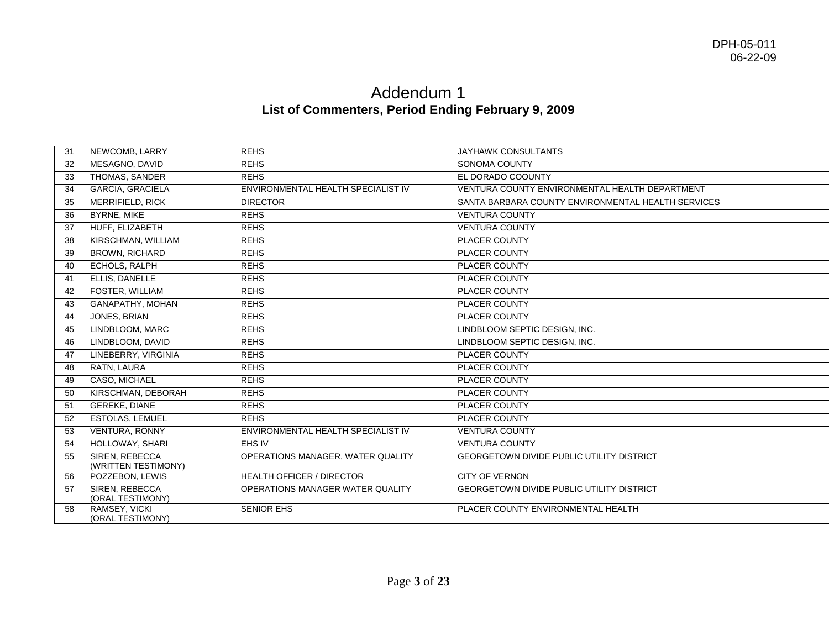# Addendum 1 **List of Commenters, Period Ending February 9, 2009**

| 31 | NEWCOMB, LARRY                        | <b>REHS</b>                        | JAYHAWK CONSULTANTS                                |
|----|---------------------------------------|------------------------------------|----------------------------------------------------|
| 32 | MESAGNO, DAVID                        | <b>REHS</b>                        | SONOMA COUNTY                                      |
| 33 | THOMAS, SANDER                        | <b>REHS</b>                        | EL DORADO COOUNTY                                  |
| 34 | <b>GARCIA, GRACIELA</b>               | ENVIRONMENTAL HEALTH SPECIALIST IV | VENTURA COUNTY ENVIRONMENTAL HEALTH DEPARTMENT     |
| 35 | <b>MERRIFIELD, RICK</b>               | <b>DIRECTOR</b>                    | SANTA BARBARA COUNTY ENVIRONMENTAL HEALTH SERVICES |
| 36 | <b>BYRNE, MIKE</b>                    | <b>REHS</b>                        | <b>VENTURA COUNTY</b>                              |
| 37 | HUFF, ELIZABETH                       | <b>REHS</b>                        | <b>VENTURA COUNTY</b>                              |
| 38 | KIRSCHMAN, WILLIAM                    | <b>REHS</b>                        | PLACER COUNTY                                      |
| 39 | <b>BROWN, RICHARD</b>                 | <b>REHS</b>                        | PLACER COUNTY                                      |
| 40 | ECHOLS, RALPH                         | <b>REHS</b>                        | PLACER COUNTY                                      |
| 41 | ELLIS, DANELLE                        | <b>REHS</b>                        | PLACER COUNTY                                      |
| 42 | <b>FOSTER, WILLIAM</b>                | <b>REHS</b>                        | <b>PLACER COUNTY</b>                               |
| 43 | GANAPATHY, MOHAN                      | <b>REHS</b>                        | <b>PLACER COUNTY</b>                               |
| 44 | JONES, BRIAN                          | <b>REHS</b>                        | <b>PLACER COUNTY</b>                               |
| 45 | LINDBLOOM, MARC                       | <b>REHS</b>                        | LINDBLOOM SEPTIC DESIGN. INC.                      |
| 46 | LINDBLOOM, DAVID                      | <b>REHS</b>                        | LINDBLOOM SEPTIC DESIGN, INC.                      |
| 47 | LINEBERRY, VIRGINIA                   | <b>REHS</b>                        | PLACER COUNTY                                      |
| 48 | RATN, LAURA                           | <b>REHS</b>                        | PLACER COUNTY                                      |
| 49 | CASO, MICHAEL                         | <b>REHS</b>                        | PLACER COUNTY                                      |
| 50 | KIRSCHMAN, DEBORAH                    | <b>REHS</b>                        | <b>PLACER COUNTY</b>                               |
| 51 | <b>GEREKE, DIANE</b>                  | <b>REHS</b>                        | PLACER COUNTY                                      |
| 52 | <b>ESTOLAS, LEMUEL</b>                | <b>REHS</b>                        | PLACER COUNTY                                      |
| 53 | <b>VENTURA, RONNY</b>                 | ENVIRONMENTAL HEALTH SPECIALIST IV | <b>VENTURA COUNTY</b>                              |
| 54 | HOLLOWAY, SHARI                       | EHS IV                             | <b>VENTURA COUNTY</b>                              |
| 55 | SIREN, REBECCA<br>(WRITTEN TESTIMONY) | OPERATIONS MANAGER, WATER QUALITY  | <b>GEORGETOWN DIVIDE PUBLIC UTILITY DISTRICT</b>   |
| 56 | POZZEBON, LEWIS                       | <b>HEALTH OFFICER / DIRECTOR</b>   | <b>CITY OF VERNON</b>                              |
| 57 | SIREN, REBECCA<br>(ORAL TESTIMONY)    | OPERATIONS MANAGER WATER QUALITY   | <b>GEORGETOWN DIVIDE PUBLIC UTILITY DISTRICT</b>   |
| 58 | RAMSEY, VICKI<br>(ORAL TESTIMONY)     | <b>SENIOR EHS</b>                  | PLACER COUNTY ENVIRONMENTAL HEALTH                 |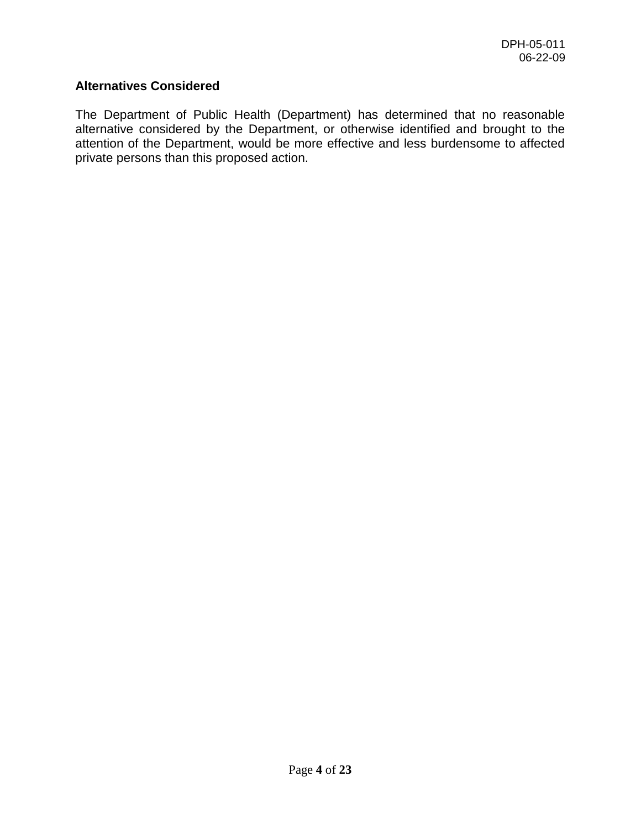## **Alternatives Considered**

The Department of Public Health (Department) has determined that no reasonable alternative considered by the Department, or otherwise identified and brought to the attention of the Department, would be more effective and less burdensome to affected private persons than this proposed action.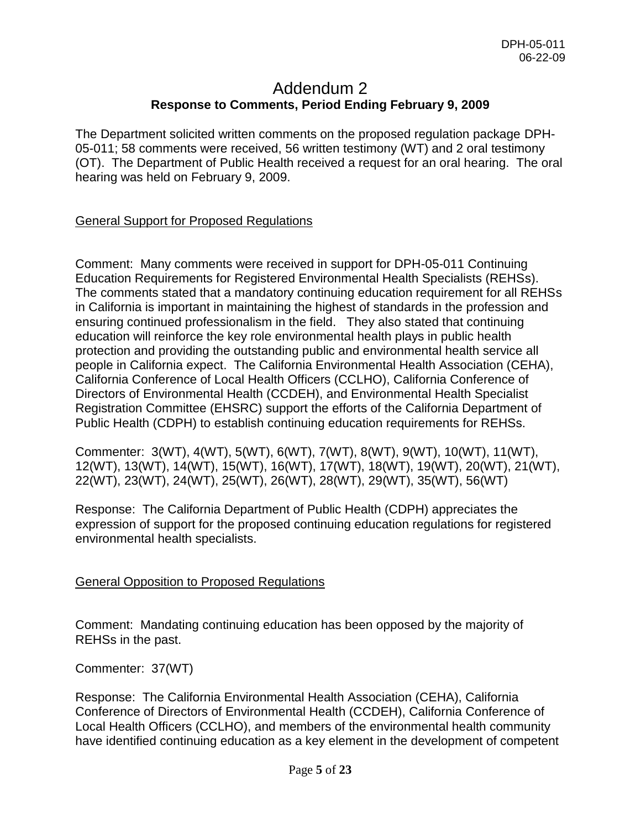# Addendum 2 **Response to Comments, Period Ending February 9, 2009**

The Department solicited written comments on the proposed regulation package DPH-05-011; 58 comments were received, 56 written testimony (WT) and 2 oral testimony (OT). The Department of Public Health received a request for an oral hearing. The oral hearing was held on February 9, 2009.

# General Support for Proposed Regulations

Comment: Many comments were received in support for DPH-05-011 Continuing Education Requirements for Registered Environmental Health Specialists (REHSs). The comments stated that a mandatory continuing education requirement for all REHSs in California is important in maintaining the highest of standards in the profession and ensuring continued professionalism in the field. They also stated that continuing education will reinforce the key role environmental health plays in public health protection and providing the outstanding public and environmental health service all people in California expect. The California Environmental Health Association (CEHA), California Conference of Local Health Officers (CCLHO), California Conference of Directors of Environmental Health (CCDEH), and Environmental Health Specialist Registration Committee (EHSRC) support the efforts of the California Department of Public Health (CDPH) to establish continuing education requirements for REHSs.

Commenter: 3(WT), 4(WT), 5(WT), 6(WT), 7(WT), 8(WT), 9(WT), 10(WT), 11(WT), 12(WT), 13(WT), 14(WT), 15(WT), 16(WT), 17(WT), 18(WT), 19(WT), 20(WT), 21(WT), 22(WT), 23(WT), 24(WT), 25(WT), 26(WT), 28(WT), 29(WT), 35(WT), 56(WT)

Response: The California Department of Public Health (CDPH) appreciates the expression of support for the proposed continuing education regulations for registered environmental health specialists.

## General Opposition to Proposed Regulations

Comment: Mandating continuing education has been opposed by the majority of REHSs in the past.

Commenter: 37(WT)

Response: The California Environmental Health Association (CEHA), California Conference of Directors of Environmental Health (CCDEH), California Conference of Local Health Officers (CCLHO), and members of the environmental health community have identified continuing education as a key element in the development of competent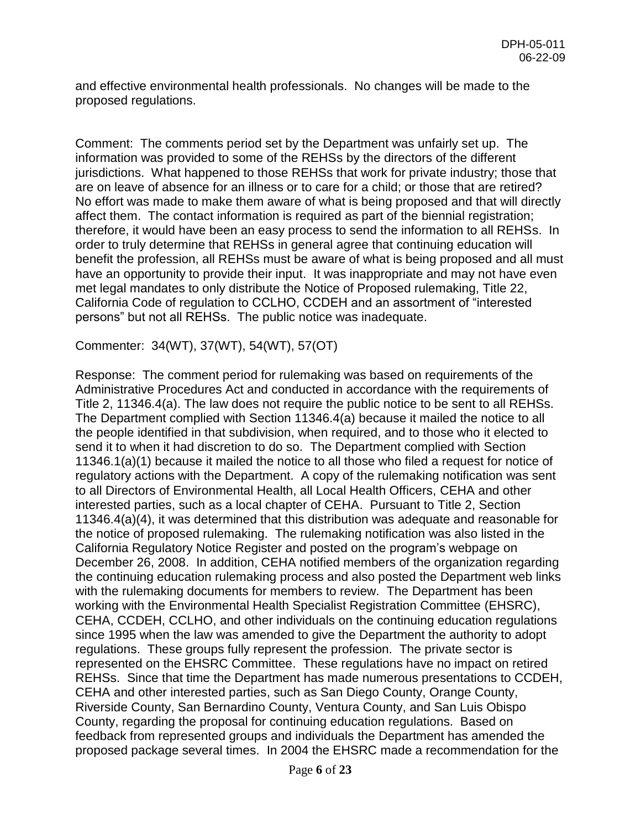and effective environmental health professionals. No changes will be made to the proposed regulations.

Comment: The comments period set by the Department was unfairly set up. The information was provided to some of the REHSs by the directors of the different jurisdictions. What happened to those REHSs that work for private industry; those that are on leave of absence for an illness or to care for a child; or those that are retired? No effort was made to make them aware of what is being proposed and that will directly affect them. The contact information is required as part of the biennial registration; therefore, it would have been an easy process to send the information to all REHSs. In order to truly determine that REHSs in general agree that continuing education will benefit the profession, all REHSs must be aware of what is being proposed and all must have an opportunity to provide their input. It was inappropriate and may not have even met legal mandates to only distribute the Notice of Proposed rulemaking, Title 22, California Code of regulation to CCLHO, CCDEH and an assortment of "interested persons" but not all REHSs. The public notice was inadequate.

Commenter: 34(WT), 37(WT), 54(WT), 57(OT)

Response: The comment period for rulemaking was based on requirements of the Administrative Procedures Act and conducted in accordance with the requirements of Title 2, 11346.4(a). The law does not require the public notice to be sent to all REHSs. The Department complied with Section 11346.4(a) because it mailed the notice to all the people identified in that subdivision, when required, and to those who it elected to send it to when it had discretion to do so. The Department complied with Section 11346.1(a)(1) because it mailed the notice to all those who filed a request for notice of regulatory actions with the Department. A copy of the rulemaking notification was sent to all Directors of Environmental Health, all Local Health Officers, CEHA and other interested parties, such as a local chapter of CEHA. Pursuant to Title 2, Section 11346.4(a)(4), it was determined that this distribution was adequate and reasonable for the notice of proposed rulemaking. The rulemaking notification was also listed in the California Regulatory Notice Register and posted on the program's webpage on December 26, 2008. In addition, CEHA notified members of the organization regarding the continuing education rulemaking process and also posted the Department web links with the rulemaking documents for members to review. The Department has been working with the Environmental Health Specialist Registration Committee (EHSRC), CEHA, CCDEH, CCLHO, and other individuals on the continuing education regulations since 1995 when the law was amended to give the Department the authority to adopt regulations. These groups fully represent the profession. The private sector is represented on the EHSRC Committee. These regulations have no impact on retired REHSs. Since that time the Department has made numerous presentations to CCDEH, CEHA and other interested parties, such as San Diego County, Orange County, Riverside County, San Bernardino County, Ventura County, and San Luis Obispo County, regarding the proposal for continuing education regulations. Based on feedback from represented groups and individuals the Department has amended the proposed package several times. In 2004 the EHSRC made a recommendation for the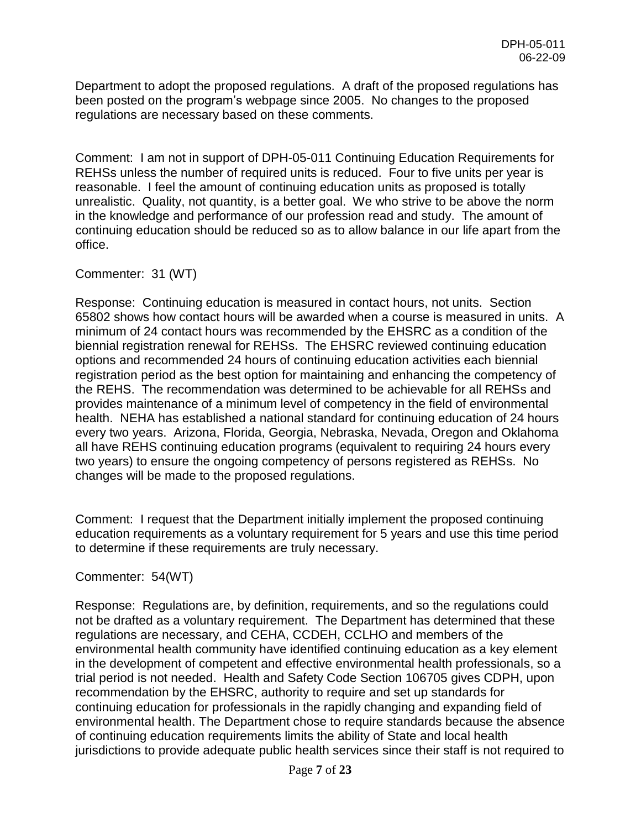Department to adopt the proposed regulations. A draft of the proposed regulations has been posted on the program's webpage since 2005. No changes to the proposed regulations are necessary based on these comments.

Comment: I am not in support of DPH-05-011 Continuing Education Requirements for REHSs unless the number of required units is reduced. Four to five units per year is reasonable. I feel the amount of continuing education units as proposed is totally unrealistic. Quality, not quantity, is a better goal. We who strive to be above the norm in the knowledge and performance of our profession read and study. The amount of continuing education should be reduced so as to allow balance in our life apart from the office.

Commenter: 31 (WT)

Response: Continuing education is measured in contact hours, not units. Section 65802 shows how contact hours will be awarded when a course is measured in units. A minimum of 24 contact hours was recommended by the EHSRC as a condition of the biennial registration renewal for REHSs. The EHSRC reviewed continuing education options and recommended 24 hours of continuing education activities each biennial registration period as the best option for maintaining and enhancing the competency of the REHS. The recommendation was determined to be achievable for all REHSs and provides maintenance of a minimum level of competency in the field of environmental health. NEHA has established a national standard for continuing education of 24 hours every two years. Arizona, Florida, Georgia, Nebraska, Nevada, Oregon and Oklahoma all have REHS continuing education programs (equivalent to requiring 24 hours every two years) to ensure the ongoing competency of persons registered as REHSs. No changes will be made to the proposed regulations.

Comment: I request that the Department initially implement the proposed continuing education requirements as a voluntary requirement for 5 years and use this time period to determine if these requirements are truly necessary.

Commenter: 54(WT)

Response: Regulations are, by definition, requirements, and so the regulations could not be drafted as a voluntary requirement. The Department has determined that these regulations are necessary, and CEHA, CCDEH, CCLHO and members of the environmental health community have identified continuing education as a key element in the development of competent and effective environmental health professionals, so a trial period is not needed. Health and Safety Code Section 106705 gives CDPH, upon recommendation by the EHSRC, authority to require and set up standards for continuing education for professionals in the rapidly changing and expanding field of environmental health. The Department chose to require standards because the absence of continuing education requirements limits the ability of State and local health jurisdictions to provide adequate public health services since their staff is not required to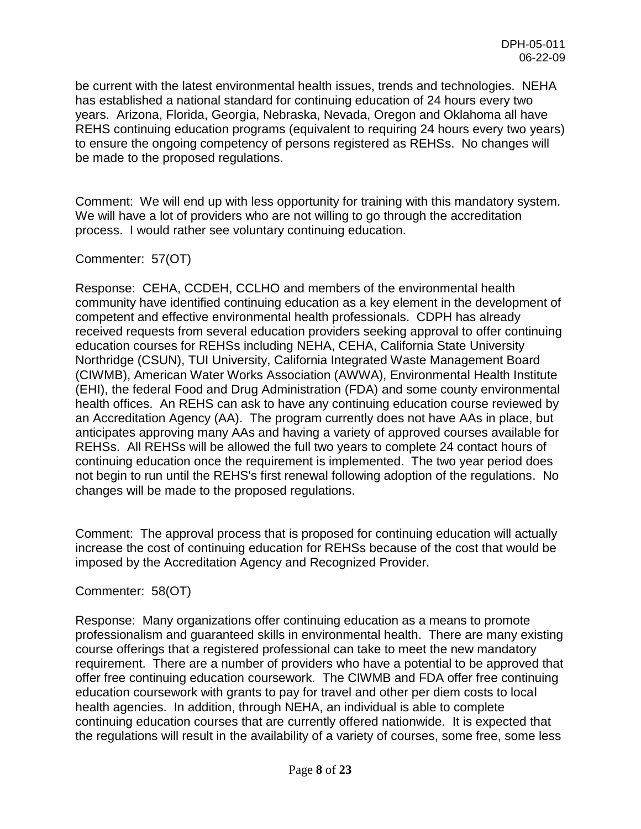be current with the latest environmental health issues, trends and technologies. NEHA has established a national standard for continuing education of 24 hours every two years. Arizona, Florida, Georgia, Nebraska, Nevada, Oregon and Oklahoma all have REHS continuing education programs (equivalent to requiring 24 hours every two years) to ensure the ongoing competency of persons registered as REHSs. No changes will be made to the proposed regulations.

Comment: We will end up with less opportunity for training with this mandatory system. We will have a lot of providers who are not willing to go through the accreditation process. I would rather see voluntary continuing education.

# Commenter: 57(OT)

Response: CEHA, CCDEH, CCLHO and members of the environmental health community have identified continuing education as a key element in the development of competent and effective environmental health professionals. CDPH has already received requests from several education providers seeking approval to offer continuing education courses for REHSs including NEHA, CEHA, California State University Northridge (CSUN), TUI University, California Integrated Waste Management Board (CIWMB), American Water Works Association (AWWA), Environmental Health Institute (EHI), the federal Food and Drug Administration (FDA) and some county environmental health offices. An REHS can ask to have any continuing education course reviewed by an Accreditation Agency (AA). The program currently does not have AAs in place, but anticipates approving many AAs and having a variety of approved courses available for REHSs. All REHSs will be allowed the full two years to complete 24 contact hours of continuing education once the requirement is implemented. The two year period does not begin to run until the REHS's first renewal following adoption of the regulations. No changes will be made to the proposed regulations.

Comment: The approval process that is proposed for continuing education will actually increase the cost of continuing education for REHSs because of the cost that would be imposed by the Accreditation Agency and Recognized Provider.

## Commenter: 58(OT)

Response: Many organizations offer continuing education as a means to promote professionalism and guaranteed skills in environmental health. There are many existing course offerings that a registered professional can take to meet the new mandatory requirement. There are a number of providers who have a potential to be approved that offer free continuing education coursework. The CIWMB and FDA offer free continuing education coursework with grants to pay for travel and other per diem costs to local health agencies. In addition, through NEHA, an individual is able to complete continuing education courses that are currently offered nationwide. It is expected that the regulations will result in the availability of a variety of courses, some free, some less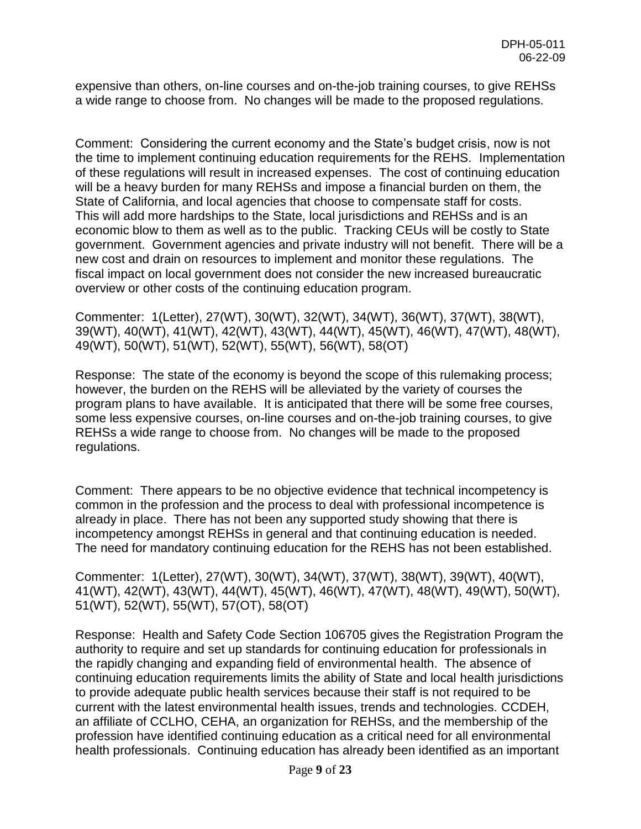expensive than others, on-line courses and on-the-job training courses, to give REHSs a wide range to choose from. No changes will be made to the proposed regulations.

Comment: Considering the current economy and the State's budget crisis, now is not the time to implement continuing education requirements for the REHS. Implementation of these regulations will result in increased expenses. The cost of continuing education will be a heavy burden for many REHSs and impose a financial burden on them, the State of California, and local agencies that choose to compensate staff for costs. This will add more hardships to the State, local jurisdictions and REHSs and is an economic blow to them as well as to the public. Tracking CEUs will be costly to State government. Government agencies and private industry will not benefit. There will be a new cost and drain on resources to implement and monitor these regulations. The fiscal impact on local government does not consider the new increased bureaucratic overview or other costs of the continuing education program.

Commenter: 1(Letter), 27(WT), 30(WT), 32(WT), 34(WT), 36(WT), 37(WT), 38(WT), 39(WT), 40(WT), 41(WT), 42(WT), 43(WT), 44(WT), 45(WT), 46(WT), 47(WT), 48(WT), 49(WT), 50(WT), 51(WT), 52(WT), 55(WT), 56(WT), 58(OT)

Response: The state of the economy is beyond the scope of this rulemaking process; however, the burden on the REHS will be alleviated by the variety of courses the program plans to have available. It is anticipated that there will be some free courses, some less expensive courses, on-line courses and on-the-job training courses, to give REHSs a wide range to choose from. No changes will be made to the proposed regulations.

Comment: There appears to be no objective evidence that technical incompetency is common in the profession and the process to deal with professional incompetence is already in place. There has not been any supported study showing that there is incompetency amongst REHSs in general and that continuing education is needed. The need for mandatory continuing education for the REHS has not been established.

Commenter: 1(Letter), 27(WT), 30(WT), 34(WT), 37(WT), 38(WT), 39(WT), 40(WT), 41(WT), 42(WT), 43(WT), 44(WT), 45(WT), 46(WT), 47(WT), 48(WT), 49(WT), 50(WT), 51(WT), 52(WT), 55(WT), 57(OT), 58(OT)

Response: Health and Safety Code Section 106705 gives the Registration Program the authority to require and set up standards for continuing education for professionals in the rapidly changing and expanding field of environmental health. The absence of continuing education requirements limits the ability of State and local health jurisdictions to provide adequate public health services because their staff is not required to be current with the latest environmental health issues, trends and technologies. CCDEH, an affiliate of CCLHO, CEHA, an organization for REHSs, and the membership of the profession have identified continuing education as a critical need for all environmental health professionals. Continuing education has already been identified as an important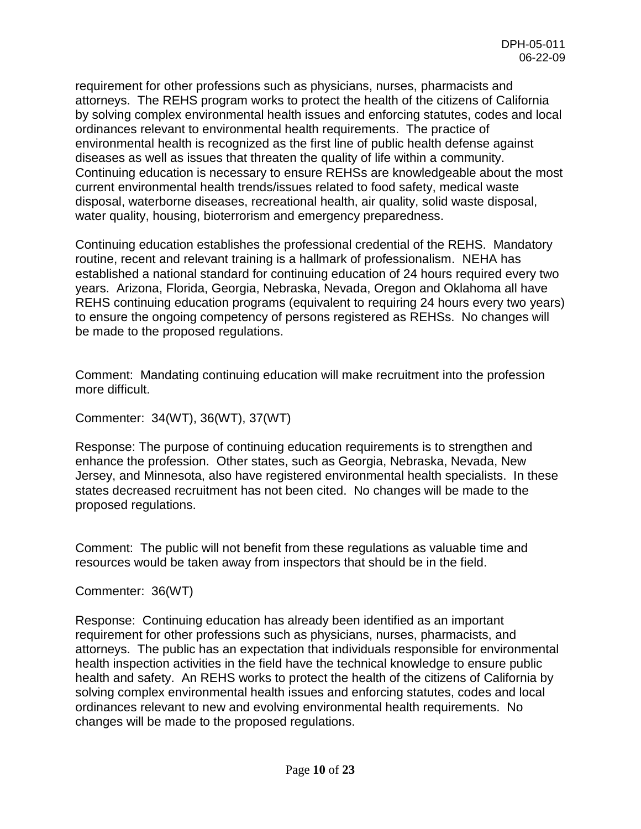requirement for other professions such as physicians, nurses, pharmacists and attorneys. The REHS program works to protect the health of the citizens of California by solving complex environmental health issues and enforcing statutes, codes and local ordinances relevant to environmental health requirements. The practice of environmental health is recognized as the first line of public health defense against diseases as well as issues that threaten the quality of life within a community. Continuing education is necessary to ensure REHSs are knowledgeable about the most current environmental health trends/issues related to food safety, medical waste disposal, waterborne diseases, recreational health, air quality, solid waste disposal, water quality, housing, bioterrorism and emergency preparedness.

Continuing education establishes the professional credential of the REHS. Mandatory routine, recent and relevant training is a hallmark of professionalism. NEHA has established a national standard for continuing education of 24 hours required every two years. Arizona, Florida, Georgia, Nebraska, Nevada, Oregon and Oklahoma all have REHS continuing education programs (equivalent to requiring 24 hours every two years) to ensure the ongoing competency of persons registered as REHSs. No changes will be made to the proposed regulations.

Comment: Mandating continuing education will make recruitment into the profession more difficult.

Commenter: 34(WT), 36(WT), 37(WT)

Response: The purpose of continuing education requirements is to strengthen and enhance the profession. Other states, such as Georgia, Nebraska, Nevada, New Jersey, and Minnesota, also have registered environmental health specialists. In these states decreased recruitment has not been cited. No changes will be made to the proposed regulations.

Comment: The public will not benefit from these regulations as valuable time and resources would be taken away from inspectors that should be in the field.

```
Commenter: 36(WT)
```
Response: Continuing education has already been identified as an important requirement for other professions such as physicians, nurses, pharmacists, and attorneys. The public has an expectation that individuals responsible for environmental health inspection activities in the field have the technical knowledge to ensure public health and safety. An REHS works to protect the health of the citizens of California by solving complex environmental health issues and enforcing statutes, codes and local ordinances relevant to new and evolving environmental health requirements. No changes will be made to the proposed regulations.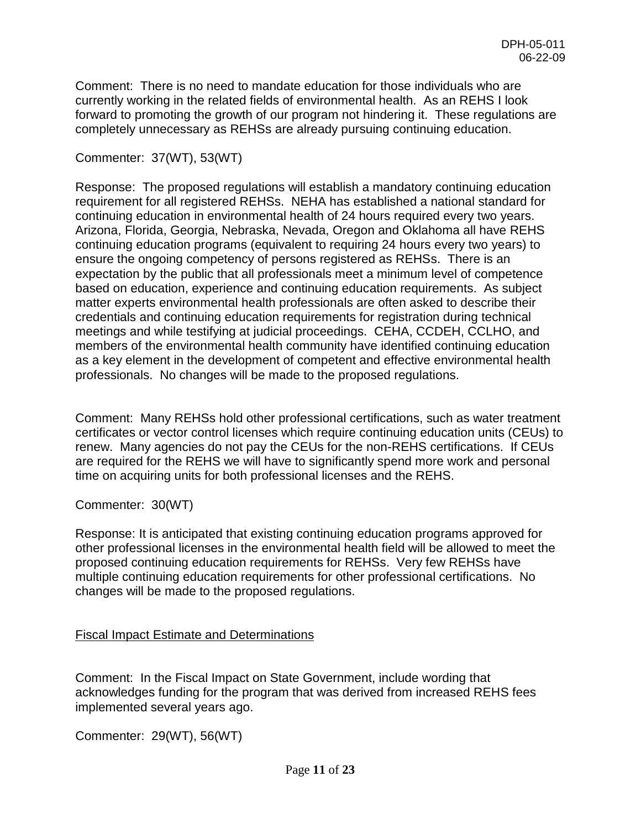Comment: There is no need to mandate education for those individuals who are currently working in the related fields of environmental health. As an REHS I look forward to promoting the growth of our program not hindering it. These regulations are completely unnecessary as REHSs are already pursuing continuing education.

# Commenter: 37(WT), 53(WT)

Response: The proposed regulations will establish a mandatory continuing education requirement for all registered REHSs. NEHA has established a national standard for continuing education in environmental health of 24 hours required every two years. Arizona, Florida, Georgia, Nebraska, Nevada, Oregon and Oklahoma all have REHS continuing education programs (equivalent to requiring 24 hours every two years) to ensure the ongoing competency of persons registered as REHSs. There is an expectation by the public that all professionals meet a minimum level of competence based on education, experience and continuing education requirements. As subject matter experts environmental health professionals are often asked to describe their credentials and continuing education requirements for registration during technical meetings and while testifying at judicial proceedings. CEHA, CCDEH, CCLHO, and members of the environmental health community have identified continuing education as a key element in the development of competent and effective environmental health professionals. No changes will be made to the proposed regulations.

Comment: Many REHSs hold other professional certifications, such as water treatment certificates or vector control licenses which require continuing education units (CEUs) to renew. Many agencies do not pay the CEUs for the non-REHS certifications. If CEUs are required for the REHS we will have to significantly spend more work and personal time on acquiring units for both professional licenses and the REHS.

Commenter: 30(WT)

Response: It is anticipated that existing continuing education programs approved for other professional licenses in the environmental health field will be allowed to meet the proposed continuing education requirements for REHSs. Very few REHSs have multiple continuing education requirements for other professional certifications. No changes will be made to the proposed regulations.

# Fiscal Impact Estimate and Determinations

Comment: In the Fiscal Impact on State Government, include wording that acknowledges funding for the program that was derived from increased REHS fees implemented several years ago.

Commenter: 29(WT), 56(WT)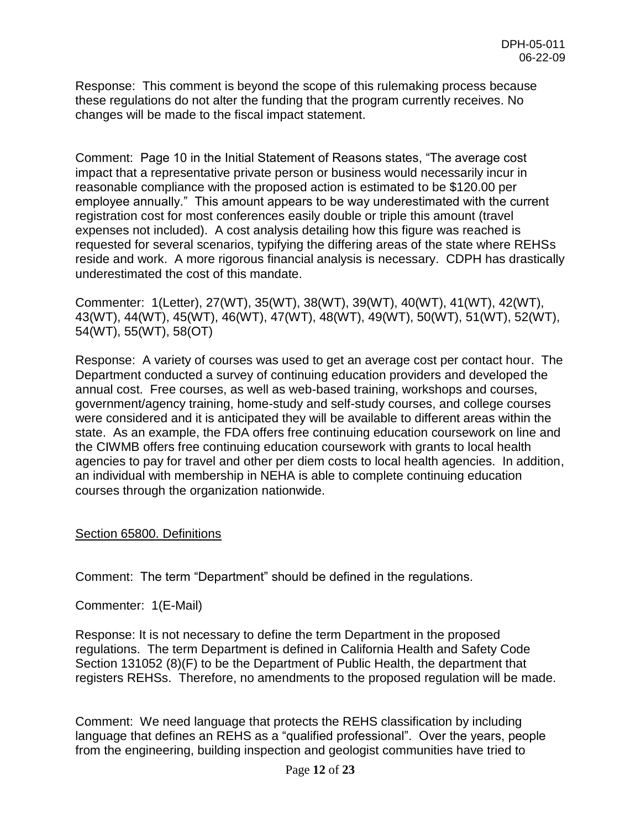Response: This comment is beyond the scope of this rulemaking process because these regulations do not alter the funding that the program currently receives. No changes will be made to the fiscal impact statement.

Comment: Page 10 in the Initial Statement of Reasons states, "The average cost impact that a representative private person or business would necessarily incur in reasonable compliance with the proposed action is estimated to be \$120.00 per employee annually." This amount appears to be way underestimated with the current registration cost for most conferences easily double or triple this amount (travel expenses not included). A cost analysis detailing how this figure was reached is requested for several scenarios, typifying the differing areas of the state where REHSs reside and work. A more rigorous financial analysis is necessary. CDPH has drastically underestimated the cost of this mandate.

Commenter: 1(Letter), 27(WT), 35(WT), 38(WT), 39(WT), 40(WT), 41(WT), 42(WT), 43(WT), 44(WT), 45(WT), 46(WT), 47(WT), 48(WT), 49(WT), 50(WT), 51(WT), 52(WT), 54(WT), 55(WT), 58(OT)

Response: A variety of courses was used to get an average cost per contact hour. The Department conducted a survey of continuing education providers and developed the annual cost. Free courses, as well as web-based training, workshops and courses, government/agency training, home-study and self-study courses, and college courses were considered and it is anticipated they will be available to different areas within the state. As an example, the FDA offers free continuing education coursework on line and the CIWMB offers free continuing education coursework with grants to local health agencies to pay for travel and other per diem costs to local health agencies. In addition, an individual with membership in NEHA is able to complete continuing education courses through the organization nationwide.

## Section 65800. Definitions

Comment: The term "Department" should be defined in the regulations.

Commenter: 1(E-Mail)

Response: It is not necessary to define the term Department in the proposed regulations. The term Department is defined in California Health and Safety Code Section 131052 (8)(F) to be the Department of Public Health, the department that registers REHSs. Therefore, no amendments to the proposed regulation will be made.

Comment: We need language that protects the REHS classification by including language that defines an REHS as a "qualified professional". Over the years, people from the engineering, building inspection and geologist communities have tried to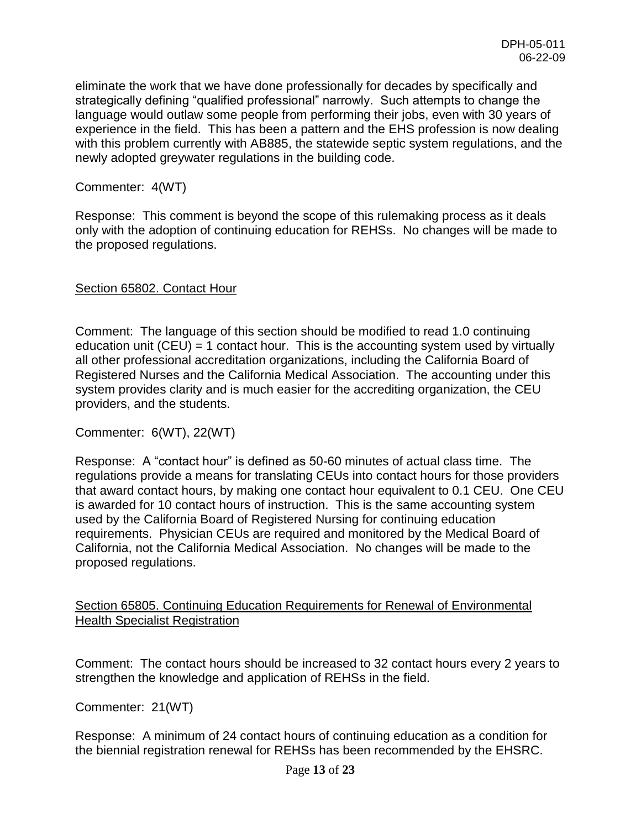eliminate the work that we have done professionally for decades by specifically and strategically defining "qualified professional" narrowly. Such attempts to change the language would outlaw some people from performing their jobs, even with 30 years of experience in the field. This has been a pattern and the EHS profession is now dealing with this problem currently with AB885, the statewide septic system regulations, and the newly adopted greywater regulations in the building code.

Commenter: 4(WT)

Response: This comment is beyond the scope of this rulemaking process as it deals only with the adoption of continuing education for REHSs. No changes will be made to the proposed regulations.

#### Section 65802. Contact Hour

Comment: The language of this section should be modified to read 1.0 continuing education unit  $(CEU) = 1$  contact hour. This is the accounting system used by virtually all other professional accreditation organizations, including the California Board of Registered Nurses and the California Medical Association. The accounting under this system provides clarity and is much easier for the accrediting organization, the CEU providers, and the students.

Commenter: 6(WT), 22(WT)

Response: A "contact hour" is defined as 50-60 minutes of actual class time. The regulations provide a means for translating CEUs into contact hours for those providers that award contact hours, by making one contact hour equivalent to 0.1 CEU. One CEU is awarded for 10 contact hours of instruction. This is the same accounting system used by the California Board of Registered Nursing for continuing education requirements. Physician CEUs are required and monitored by the Medical Board of California, not the California Medical Association. No changes will be made to the proposed regulations.

Section 65805. Continuing Education Requirements for Renewal of Environmental Health Specialist Registration

Comment: The contact hours should be increased to 32 contact hours every 2 years to strengthen the knowledge and application of REHSs in the field.

Commenter: 21(WT)

Response: A minimum of 24 contact hours of continuing education as a condition for the biennial registration renewal for REHSs has been recommended by the EHSRC.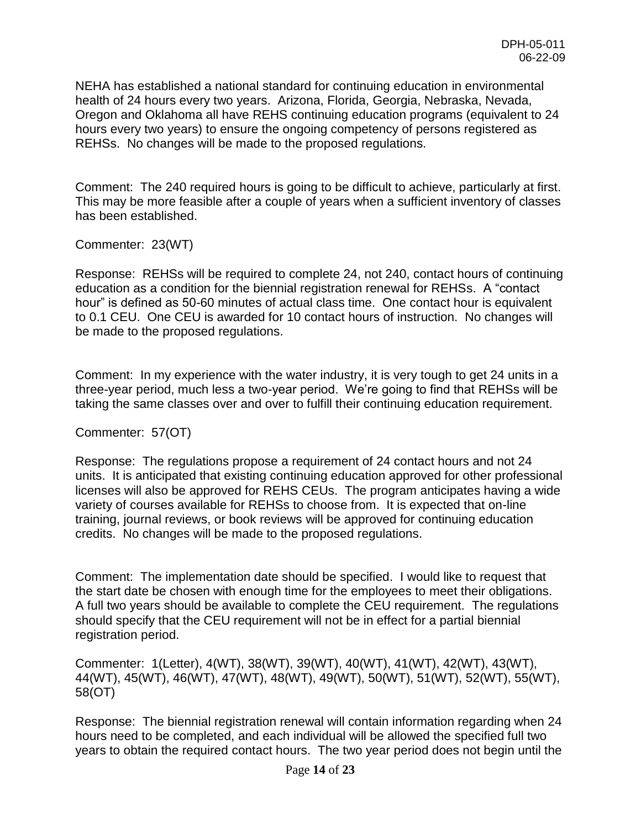NEHA has established a national standard for continuing education in environmental health of 24 hours every two years. Arizona, Florida, Georgia, Nebraska, Nevada, Oregon and Oklahoma all have REHS continuing education programs (equivalent to 24 hours every two years) to ensure the ongoing competency of persons registered as REHSs. No changes will be made to the proposed regulations.

Comment: The 240 required hours is going to be difficult to achieve, particularly at first. This may be more feasible after a couple of years when a sufficient inventory of classes has been established.

Commenter: 23(WT)

Response: REHSs will be required to complete 24, not 240, contact hours of continuing education as a condition for the biennial registration renewal for REHSs. A "contact hour" is defined as 50-60 minutes of actual class time. One contact hour is equivalent to 0.1 CEU. One CEU is awarded for 10 contact hours of instruction. No changes will be made to the proposed regulations.

Comment: In my experience with the water industry, it is very tough to get 24 units in a three-year period, much less a two-year period. We're going to find that REHSs will be taking the same classes over and over to fulfill their continuing education requirement.

Commenter: 57(OT)

Response: The regulations propose a requirement of 24 contact hours and not 24 units. It is anticipated that existing continuing education approved for other professional licenses will also be approved for REHS CEUs. The program anticipates having a wide variety of courses available for REHSs to choose from. It is expected that on-line training, journal reviews, or book reviews will be approved for continuing education credits. No changes will be made to the proposed regulations.

Comment: The implementation date should be specified. I would like to request that the start date be chosen with enough time for the employees to meet their obligations. A full two years should be available to complete the CEU requirement. The regulations should specify that the CEU requirement will not be in effect for a partial biennial registration period.

Commenter: 1(Letter), 4(WT), 38(WT), 39(WT), 40(WT), 41(WT), 42(WT), 43(WT), 44(WT), 45(WT), 46(WT), 47(WT), 48(WT), 49(WT), 50(WT), 51(WT), 52(WT), 55(WT), 58(OT)

Response: The biennial registration renewal will contain information regarding when 24 hours need to be completed, and each individual will be allowed the specified full two years to obtain the required contact hours. The two year period does not begin until the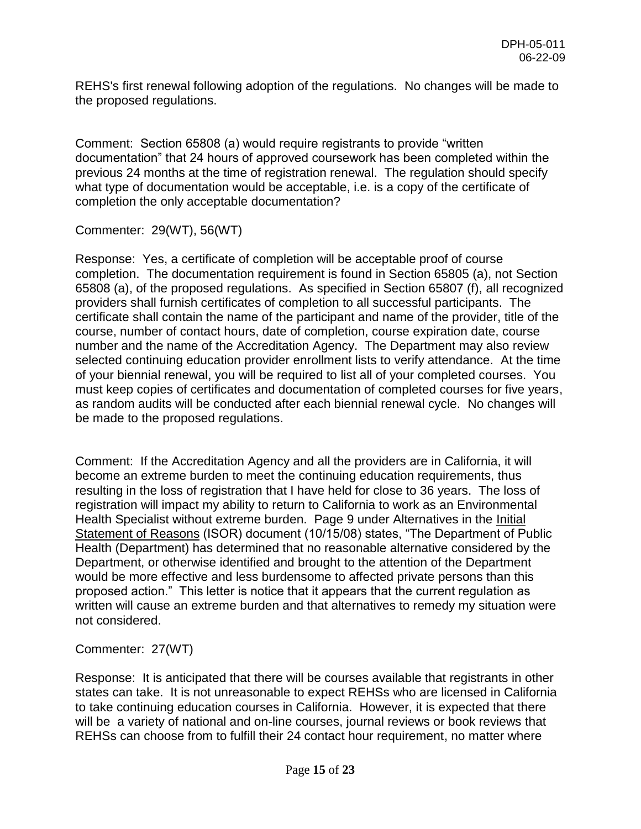REHS's first renewal following adoption of the regulations. No changes will be made to the proposed regulations.

Comment: Section 65808 (a) would require registrants to provide "written documentation" that 24 hours of approved coursework has been completed within the previous 24 months at the time of registration renewal. The regulation should specify what type of documentation would be acceptable, i.e. is a copy of the certificate of completion the only acceptable documentation?

Commenter: 29(WT), 56(WT)

Response: Yes, a certificate of completion will be acceptable proof of course completion. The documentation requirement is found in Section 65805 (a), not Section 65808 (a), of the proposed regulations. As specified in Section 65807 (f), all recognized providers shall furnish certificates of completion to all successful participants. The certificate shall contain the name of the participant and name of the provider, title of the course, number of contact hours, date of completion, course expiration date, course number and the name of the Accreditation Agency. The Department may also review selected continuing education provider enrollment lists to verify attendance. At the time of your biennial renewal, you will be required to list all of your completed courses. You must keep copies of certificates and documentation of completed courses for five years, as random audits will be conducted after each biennial renewal cycle. No changes will be made to the proposed regulations.

Comment: If the Accreditation Agency and all the providers are in California, it will become an extreme burden to meet the continuing education requirements, thus resulting in the loss of registration that I have held for close to 36 years. The loss of registration will impact my ability to return to California to work as an Environmental Health Specialist without extreme burden. Page 9 under Alternatives in the Initial Statement of Reasons (ISOR) document (10/15/08) states, "The Department of Public Health (Department) has determined that no reasonable alternative considered by the Department, or otherwise identified and brought to the attention of the Department would be more effective and less burdensome to affected private persons than this proposed action." This letter is notice that it appears that the current regulation as written will cause an extreme burden and that alternatives to remedy my situation were not considered.

Commenter: 27(WT)

Response: It is anticipated that there will be courses available that registrants in other states can take. It is not unreasonable to expect REHSs who are licensed in California to take continuing education courses in California. However, it is expected that there will be a variety of national and on-line courses, journal reviews or book reviews that REHSs can choose from to fulfill their 24 contact hour requirement, no matter where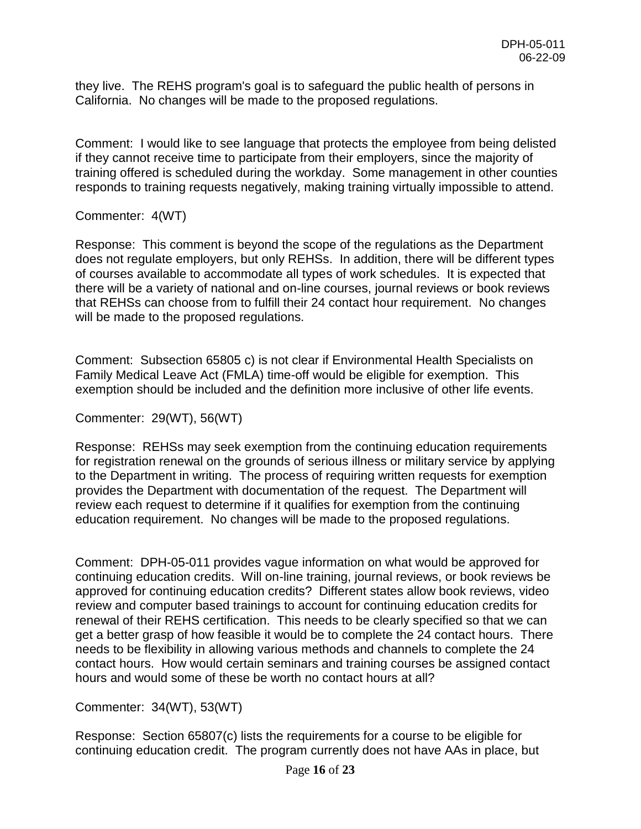they live. The REHS program's goal is to safeguard the public health of persons in California. No changes will be made to the proposed regulations.

Comment: I would like to see language that protects the employee from being delisted if they cannot receive time to participate from their employers, since the majority of training offered is scheduled during the workday. Some management in other counties responds to training requests negatively, making training virtually impossible to attend.

#### Commenter: 4(WT)

Response: This comment is beyond the scope of the regulations as the Department does not regulate employers, but only REHSs. In addition, there will be different types of courses available to accommodate all types of work schedules. It is expected that there will be a variety of national and on-line courses, journal reviews or book reviews that REHSs can choose from to fulfill their 24 contact hour requirement. No changes will be made to the proposed regulations.

Comment: Subsection 65805 c) is not clear if Environmental Health Specialists on Family Medical Leave Act (FMLA) time-off would be eligible for exemption. This exemption should be included and the definition more inclusive of other life events.

Commenter: 29(WT), 56(WT)

Response: REHSs may seek exemption from the continuing education requirements for registration renewal on the grounds of serious illness or military service by applying to the Department in writing. The process of requiring written requests for exemption provides the Department with documentation of the request. The Department will review each request to determine if it qualifies for exemption from the continuing education requirement. No changes will be made to the proposed regulations.

Comment: DPH-05-011 provides vague information on what would be approved for continuing education credits. Will on-line training, journal reviews, or book reviews be approved for continuing education credits? Different states allow book reviews, video review and computer based trainings to account for continuing education credits for renewal of their REHS certification. This needs to be clearly specified so that we can get a better grasp of how feasible it would be to complete the 24 contact hours. There needs to be flexibility in allowing various methods and channels to complete the 24 contact hours. How would certain seminars and training courses be assigned contact hours and would some of these be worth no contact hours at all?

Commenter: 34(WT), 53(WT)

Response: Section 65807(c) lists the requirements for a course to be eligible for continuing education credit. The program currently does not have AAs in place, but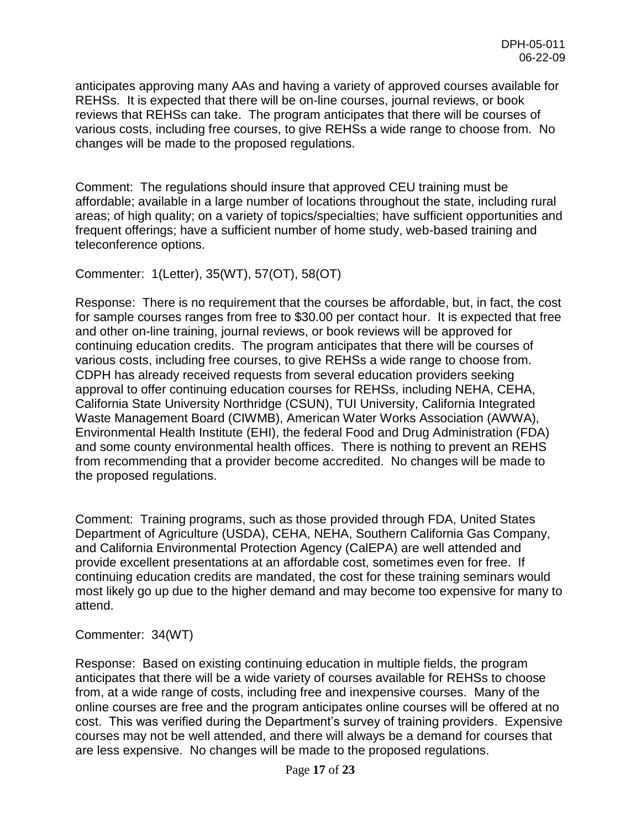anticipates approving many AAs and having a variety of approved courses available for REHSs. It is expected that there will be on-line courses, journal reviews, or book reviews that REHSs can take. The program anticipates that there will be courses of various costs, including free courses, to give REHSs a wide range to choose from. No changes will be made to the proposed regulations.

Comment: The regulations should insure that approved CEU training must be affordable; available in a large number of locations throughout the state, including rural areas; of high quality; on a variety of topics/specialties; have sufficient opportunities and frequent offerings; have a sufficient number of home study, web-based training and teleconference options.

Commenter: 1(Letter), 35(WT), 57(OT), 58(OT)

Response: There is no requirement that the courses be affordable, but, in fact, the cost for sample courses ranges from free to \$30.00 per contact hour. It is expected that free and other on-line training, journal reviews, or book reviews will be approved for continuing education credits. The program anticipates that there will be courses of various costs, including free courses, to give REHSs a wide range to choose from. CDPH has already received requests from several education providers seeking approval to offer continuing education courses for REHSs, including NEHA, CEHA, California State University Northridge (CSUN), TUI University, California Integrated Waste Management Board (CIWMB), American Water Works Association (AWWA), Environmental Health Institute (EHI), the federal Food and Drug Administration (FDA) and some county environmental health offices. There is nothing to prevent an REHS from recommending that a provider become accredited. No changes will be made to the proposed regulations.

Comment: Training programs, such as those provided through FDA, United States Department of Agriculture (USDA), CEHA, NEHA, Southern California Gas Company, and California Environmental Protection Agency (CalEPA) are well attended and provide excellent presentations at an affordable cost, sometimes even for free. If continuing education credits are mandated, the cost for these training seminars would most likely go up due to the higher demand and may become too expensive for many to attend.

## Commenter: 34(WT)

Response: Based on existing continuing education in multiple fields, the program anticipates that there will be a wide variety of courses available for REHSs to choose from, at a wide range of costs, including free and inexpensive courses. Many of the online courses are free and the program anticipates online courses will be offered at no cost. This was verified during the Department's survey of training providers. Expensive courses may not be well attended, and there will always be a demand for courses that are less expensive. No changes will be made to the proposed regulations.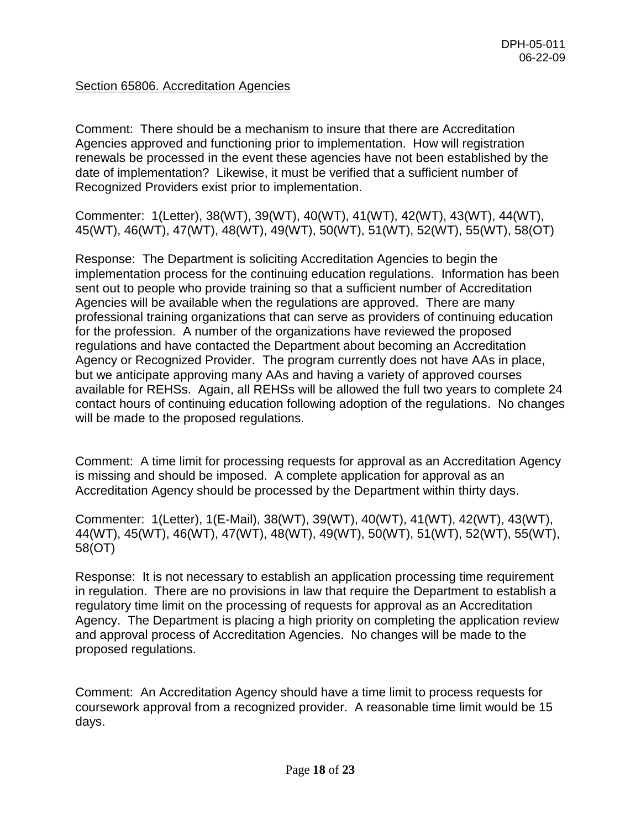# Section 65806. Accreditation Agencies

Comment: There should be a mechanism to insure that there are Accreditation Agencies approved and functioning prior to implementation. How will registration renewals be processed in the event these agencies have not been established by the date of implementation? Likewise, it must be verified that a sufficient number of Recognized Providers exist prior to implementation.

Commenter: 1(Letter), 38(WT), 39(WT), 40(WT), 41(WT), 42(WT), 43(WT), 44(WT), 45(WT), 46(WT), 47(WT), 48(WT), 49(WT), 50(WT), 51(WT), 52(WT), 55(WT), 58(OT)

Response: The Department is soliciting Accreditation Agencies to begin the implementation process for the continuing education regulations. Information has been sent out to people who provide training so that a sufficient number of Accreditation Agencies will be available when the regulations are approved. There are many professional training organizations that can serve as providers of continuing education for the profession. A number of the organizations have reviewed the proposed regulations and have contacted the Department about becoming an Accreditation Agency or Recognized Provider. The program currently does not have AAs in place, but we anticipate approving many AAs and having a variety of approved courses available for REHSs. Again, all REHSs will be allowed the full two years to complete 24 contact hours of continuing education following adoption of the regulations. No changes will be made to the proposed regulations.

Comment: A time limit for processing requests for approval as an Accreditation Agency is missing and should be imposed. A complete application for approval as an Accreditation Agency should be processed by the Department within thirty days.

Commenter: 1(Letter), 1(E-Mail), 38(WT), 39(WT), 40(WT), 41(WT), 42(WT), 43(WT), 44(WT), 45(WT), 46(WT), 47(WT), 48(WT), 49(WT), 50(WT), 51(WT), 52(WT), 55(WT), 58(OT)

Response: It is not necessary to establish an application processing time requirement in regulation. There are no provisions in law that require the Department to establish a regulatory time limit on the processing of requests for approval as an Accreditation Agency. The Department is placing a high priority on completing the application review and approval process of Accreditation Agencies. No changes will be made to the proposed regulations.

Comment: An Accreditation Agency should have a time limit to process requests for coursework approval from a recognized provider. A reasonable time limit would be 15 days.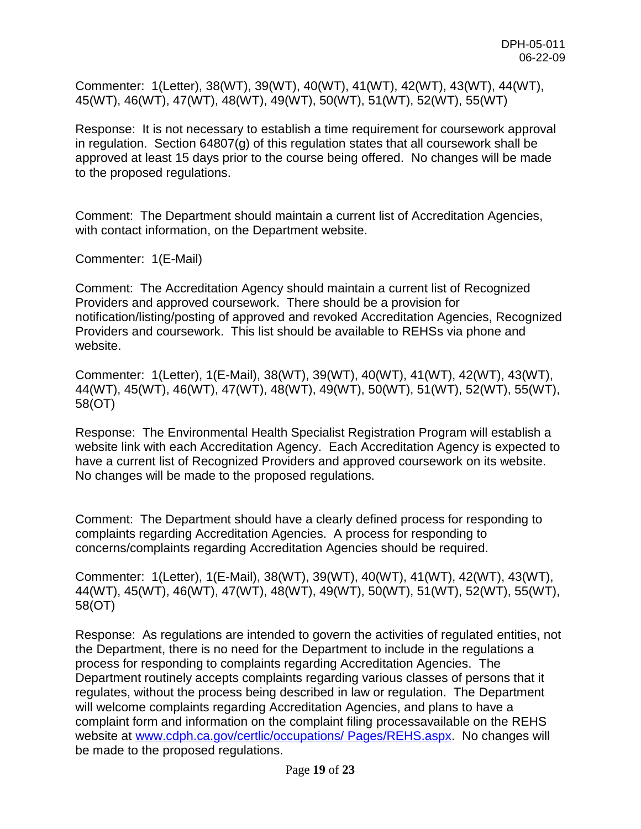Commenter: 1(Letter), 38(WT), 39(WT), 40(WT), 41(WT), 42(WT), 43(WT), 44(WT), 45(WT), 46(WT), 47(WT), 48(WT), 49(WT), 50(WT), 51(WT), 52(WT), 55(WT)

Response: It is not necessary to establish a time requirement for coursework approval in regulation. Section 64807(g) of this regulation states that all coursework shall be approved at least 15 days prior to the course being offered. No changes will be made to the proposed regulations.

Comment: The Department should maintain a current list of Accreditation Agencies, with contact information, on the Department website.

Commenter: 1(E-Mail)

Comment: The Accreditation Agency should maintain a current list of Recognized Providers and approved coursework. There should be a provision for notification/listing/posting of approved and revoked Accreditation Agencies, Recognized Providers and coursework. This list should be available to REHSs via phone and website.

Commenter: 1(Letter), 1(E-Mail), 38(WT), 39(WT), 40(WT), 41(WT), 42(WT), 43(WT), 44(WT), 45(WT), 46(WT), 47(WT), 48(WT), 49(WT), 50(WT), 51(WT), 52(WT), 55(WT), 58(OT)

Response: The Environmental Health Specialist Registration Program will establish a website link with each Accreditation Agency. Each Accreditation Agency is expected to have a current list of Recognized Providers and approved coursework on its website. No changes will be made to the proposed regulations.

Comment: The Department should have a clearly defined process for responding to complaints regarding Accreditation Agencies. A process for responding to concerns/complaints regarding Accreditation Agencies should be required.

Commenter: 1(Letter), 1(E-Mail), 38(WT), 39(WT), 40(WT), 41(WT), 42(WT), 43(WT), 44(WT), 45(WT), 46(WT), 47(WT), 48(WT), 49(WT), 50(WT), 51(WT), 52(WT), 55(WT), 58(OT)

Response: As regulations are intended to govern the activities of regulated entities, not the Department, there is no need for the Department to include in the regulations a process for responding to complaints regarding Accreditation Agencies. The Department routinely accepts complaints regarding various classes of persons that it regulates, without the process being described in law or regulation. The Department will welcome complaints regarding Accreditation Agencies, and plans to have a complaint form and information on the complaint filing processavailable on the REHS website at [www.cdph.ca.gov/certlic/occupations/ Pages/REHS.aspx.](http://www.cdph.ca.gov/certlic/occupations/%20Pages/REHS.aspx) No changes will be made to the proposed regulations.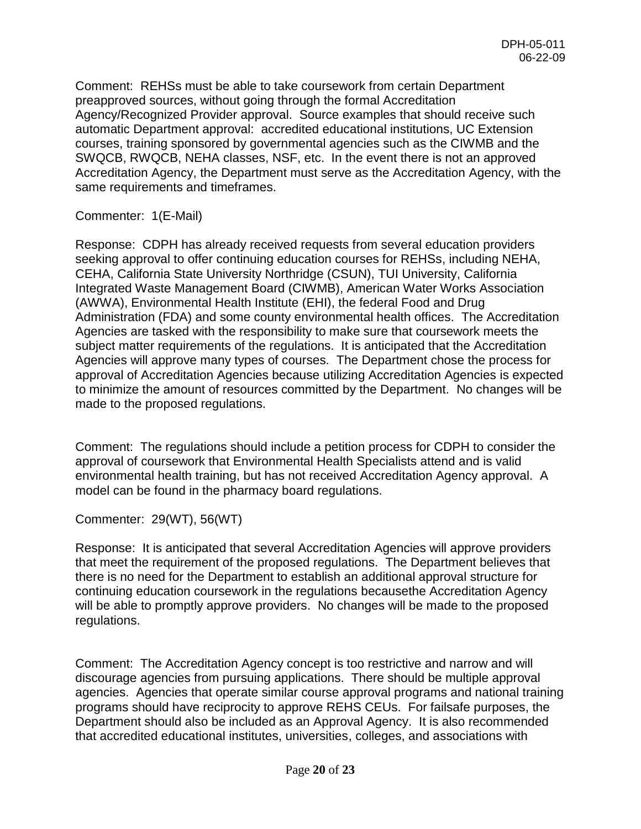Comment: REHSs must be able to take coursework from certain Department preapproved sources, without going through the formal Accreditation Agency/Recognized Provider approval. Source examples that should receive such automatic Department approval: accredited educational institutions, UC Extension courses, training sponsored by governmental agencies such as the CIWMB and the SWQCB, RWQCB, NEHA classes, NSF, etc. In the event there is not an approved Accreditation Agency, the Department must serve as the Accreditation Agency, with the same requirements and timeframes.

Commenter: 1(E-Mail)

Response: CDPH has already received requests from several education providers seeking approval to offer continuing education courses for REHSs, including NEHA, CEHA, California State University Northridge (CSUN), TUI University, California Integrated Waste Management Board (CIWMB), American Water Works Association (AWWA), Environmental Health Institute (EHI), the federal Food and Drug Administration (FDA) and some county environmental health offices. The Accreditation Agencies are tasked with the responsibility to make sure that coursework meets the subject matter requirements of the regulations. It is anticipated that the Accreditation Agencies will approve many types of courses. The Department chose the process for approval of Accreditation Agencies because utilizing Accreditation Agencies is expected to minimize the amount of resources committed by the Department. No changes will be made to the proposed regulations.

Comment: The regulations should include a petition process for CDPH to consider the approval of coursework that Environmental Health Specialists attend and is valid environmental health training, but has not received Accreditation Agency approval. A model can be found in the pharmacy board regulations.

Commenter: 29(WT), 56(WT)

Response: It is anticipated that several Accreditation Agencies will approve providers that meet the requirement of the proposed regulations. The Department believes that there is no need for the Department to establish an additional approval structure for continuing education coursework in the regulations becausethe Accreditation Agency will be able to promptly approve providers. No changes will be made to the proposed regulations.

Comment: The Accreditation Agency concept is too restrictive and narrow and will discourage agencies from pursuing applications. There should be multiple approval agencies. Agencies that operate similar course approval programs and national training programs should have reciprocity to approve REHS CEUs. For failsafe purposes, the Department should also be included as an Approval Agency. It is also recommended that accredited educational institutes, universities, colleges, and associations with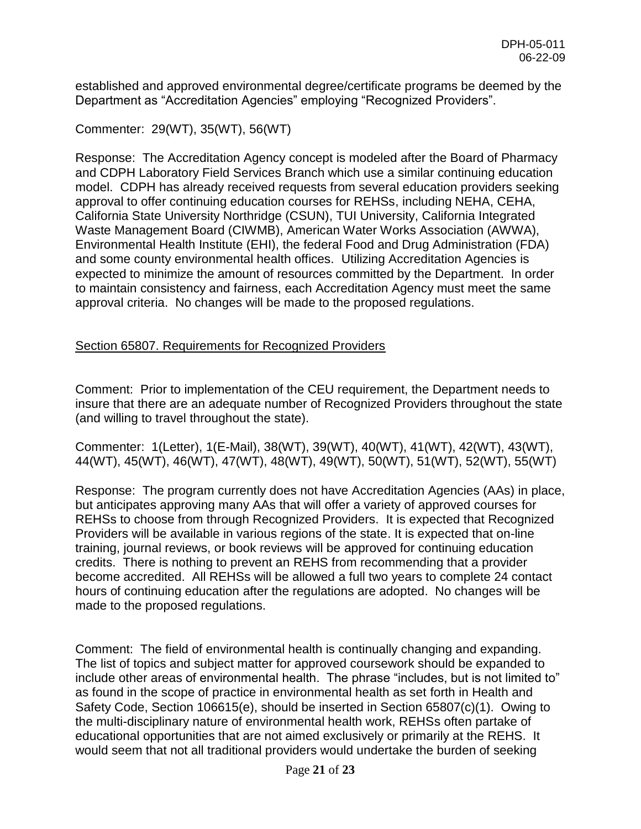established and approved environmental degree/certificate programs be deemed by the Department as "Accreditation Agencies" employing "Recognized Providers".

Commenter: 29(WT), 35(WT), 56(WT)

Response: The Accreditation Agency concept is modeled after the Board of Pharmacy and CDPH Laboratory Field Services Branch which use a similar continuing education model. CDPH has already received requests from several education providers seeking approval to offer continuing education courses for REHSs, including NEHA, CEHA, California State University Northridge (CSUN), TUI University, California Integrated Waste Management Board (CIWMB), American Water Works Association (AWWA), Environmental Health Institute (EHI), the federal Food and Drug Administration (FDA) and some county environmental health offices. Utilizing Accreditation Agencies is expected to minimize the amount of resources committed by the Department. In order to maintain consistency and fairness, each Accreditation Agency must meet the same approval criteria. No changes will be made to the proposed regulations.

## Section 65807. Requirements for Recognized Providers

Comment: Prior to implementation of the CEU requirement, the Department needs to insure that there are an adequate number of Recognized Providers throughout the state (and willing to travel throughout the state).

Commenter: 1(Letter), 1(E-Mail), 38(WT), 39(WT), 40(WT), 41(WT), 42(WT), 43(WT), 44(WT), 45(WT), 46(WT), 47(WT), 48(WT), 49(WT), 50(WT), 51(WT), 52(WT), 55(WT)

Response: The program currently does not have Accreditation Agencies (AAs) in place, but anticipates approving many AAs that will offer a variety of approved courses for REHSs to choose from through Recognized Providers. It is expected that Recognized Providers will be available in various regions of the state. It is expected that on-line training, journal reviews, or book reviews will be approved for continuing education credits. There is nothing to prevent an REHS from recommending that a provider become accredited. All REHSs will be allowed a full two years to complete 24 contact hours of continuing education after the regulations are adopted. No changes will be made to the proposed regulations.

Comment: The field of environmental health is continually changing and expanding. The list of topics and subject matter for approved coursework should be expanded to include other areas of environmental health. The phrase "includes, but is not limited to" as found in the scope of practice in environmental health as set forth in Health and Safety Code, Section 106615(e), should be inserted in Section 65807(c)(1). Owing to the multi-disciplinary nature of environmental health work, REHSs often partake of educational opportunities that are not aimed exclusively or primarily at the REHS. It would seem that not all traditional providers would undertake the burden of seeking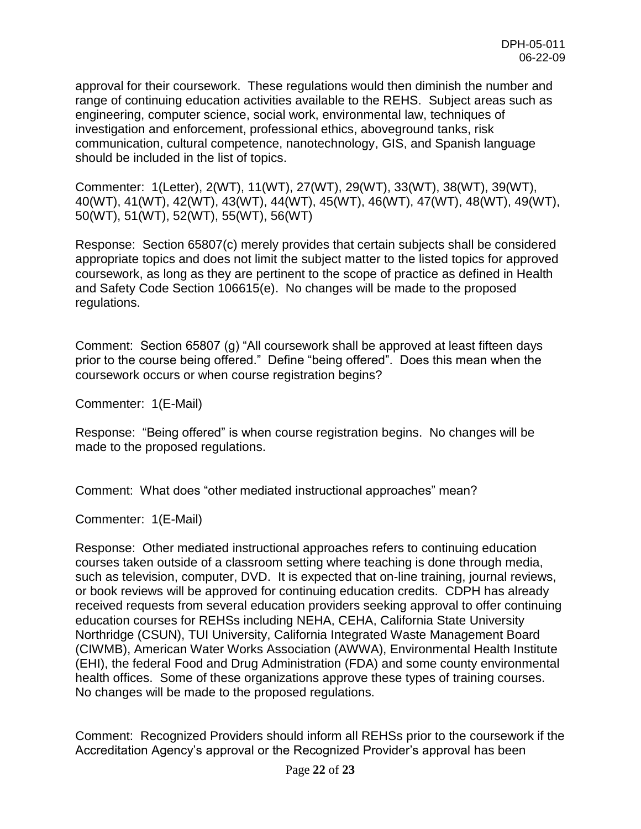approval for their coursework. These regulations would then diminish the number and range of continuing education activities available to the REHS. Subject areas such as engineering, computer science, social work, environmental law, techniques of investigation and enforcement, professional ethics, aboveground tanks, risk communication, cultural competence, nanotechnology, GIS, and Spanish language should be included in the list of topics.

Commenter: 1(Letter), 2(WT), 11(WT), 27(WT), 29(WT), 33(WT), 38(WT), 39(WT), 40(WT), 41(WT), 42(WT), 43(WT), 44(WT), 45(WT), 46(WT), 47(WT), 48(WT), 49(WT), 50(WT), 51(WT), 52(WT), 55(WT), 56(WT)

Response: Section 65807(c) merely provides that certain subjects shall be considered appropriate topics and does not limit the subject matter to the listed topics for approved coursework, as long as they are pertinent to the scope of practice as defined in Health and Safety Code Section 106615(e). No changes will be made to the proposed regulations.

Comment: Section 65807 (g) "All coursework shall be approved at least fifteen days prior to the course being offered." Define "being offered". Does this mean when the coursework occurs or when course registration begins?

Commenter: 1(E-Mail)

Response: "Being offered" is when course registration begins. No changes will be made to the proposed regulations.

Comment: What does "other mediated instructional approaches" mean?

Commenter: 1(E-Mail)

Response: Other mediated instructional approaches refers to continuing education courses taken outside of a classroom setting where teaching is done through media, such as television, computer, DVD. It is expected that on-line training, journal reviews, or book reviews will be approved for continuing education credits. CDPH has already received requests from several education providers seeking approval to offer continuing education courses for REHSs including NEHA, CEHA, California State University Northridge (CSUN), TUI University, California Integrated Waste Management Board (CIWMB), American Water Works Association (AWWA), Environmental Health Institute (EHI), the federal Food and Drug Administration (FDA) and some county environmental health offices. Some of these organizations approve these types of training courses. No changes will be made to the proposed regulations.

Comment: Recognized Providers should inform all REHSs prior to the coursework if the Accreditation Agency's approval or the Recognized Provider's approval has been